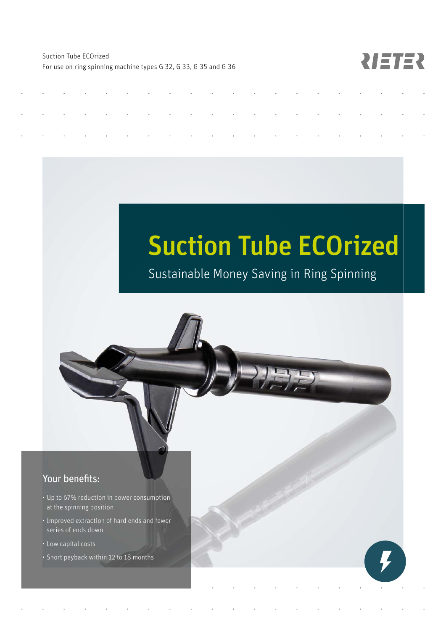Suction Tube ECOrized For use on ring spinning machine types G 32, G 33, G 35 and G 36

NETER

# Suction Tube ECOrized

Sustainable Money Saving in Ring Spinning

# Your benefits:

- Up to 67% reduction in power consumption at the spinning position
- Improved extraction of hard ends and fewer series of ends down
- Low capital costs
- Short payback within 12 to 18 months